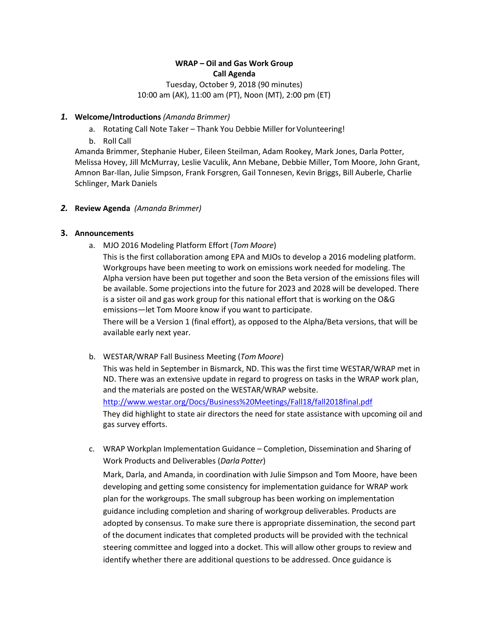# **WRAP – Oil and Gas Work Group Call Agenda** Tuesday, October 9, 2018 (90 minutes) 10:00 am (AK), 11:00 am (PT), Noon (MT), 2:00 pm (ET)

### *1.* **Welcome/Introductions** *(Amanda Brimmer)*

- a. Rotating Call Note Taker Thank You Debbie Miller for Volunteering!
- b. Roll Call

Amanda Brimmer, Stephanie Huber, Eileen Steilman, Adam Rookey, Mark Jones, Darla Potter, Melissa Hovey, Jill McMurray, Leslie Vaculik, Ann Mebane, Debbie Miller, Tom Moore, John Grant, Amnon Bar-Ilan, Julie Simpson, Frank Forsgren, Gail Tonnesen, Kevin Briggs, Bill Auberle, Charlie Schlinger, Mark Daniels

### *2.* **Review Agenda** *(Amanda Brimmer)*

### **3. Announcements**

a. MJO 2016 Modeling Platform Effort (*Tom Moore*)

This is the first collaboration among EPA and MJOs to develop a 2016 modeling platform. Workgroups have been meeting to work on emissions work needed for modeling. The Alpha version have been put together and soon the Beta version of the emissions files will be available. Some projections into the future for 2023 and 2028 will be developed. There is a sister oil and gas work group for this national effort that is working on the O&G emissions—let Tom Moore know if you want to participate.

There will be a Version 1 (final effort), as opposed to the Alpha/Beta versions, that will be available early next year.

b. WESTAR/WRAP Fall Business Meeting (*Tom Moore*)

This was held in September in Bismarck, ND. This was the first time WESTAR/WRAP met in ND. There was an extensive update in regard to progress on tasks in the WRAP work plan, and the materials are posted on the WESTAR/WRAP website.

<http://www.westar.org/Docs/Business%20Meetings/Fall18/fall2018final.pdf>

They did highlight to state air directors the need for state assistance with upcoming oil and gas survey efforts.

c. WRAP Workplan Implementation Guidance – Completion, Dissemination and Sharing of Work Products and Deliverables (*Darla Potter*)

Mark, Darla, and Amanda, in coordination with Julie Simpson and Tom Moore, have been developing and getting some consistency for implementation guidance for WRAP work plan for the workgroups. The small subgroup has been working on implementation guidance including completion and sharing of workgroup deliverables. Products are adopted by consensus. To make sure there is appropriate dissemination, the second part of the document indicates that completed products will be provided with the technical steering committee and logged into a docket. This will allow other groups to review and identify whether there are additional questions to be addressed. Once guidance is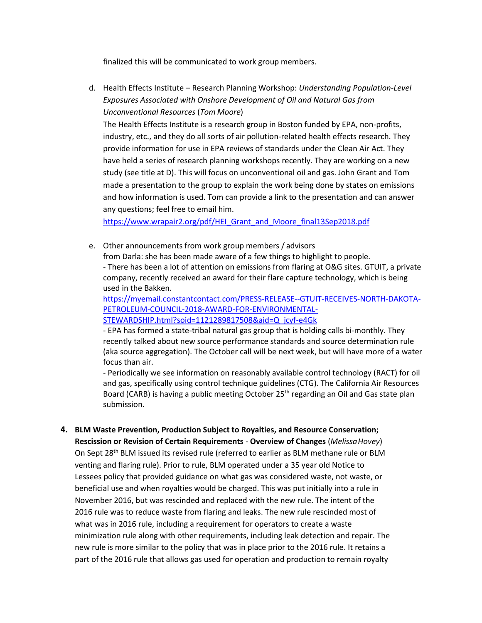finalized this will be communicated to work group members.

d. Health Effects Institute – Research Planning Workshop: *Understanding Population-Level Exposures Associated with Onshore Development of Oil and Natural Gas from Unconventional Resources* (*Tom Moore*)

The Health Effects Institute is a research group in Boston funded by EPA, non-profits, industry, etc., and they do all sorts of air pollution-related health effects research. They provide information for use in EPA reviews of standards under the Clean Air Act. They have held a series of research planning workshops recently. They are working on a new study (see title at D). This will focus on unconventional oil and gas. John Grant and Tom made a presentation to the group to explain the work being done by states on emissions and how information is used. Tom can provide a link to the presentation and can answer any questions; feel free to email him.

[https://www.wrapair2.org/pdf/HEI\\_Grant\\_and\\_Moore\\_final13Sep2018.pdf](https://www.wrapair2.org/pdf/HEI_Grant_and_Moore_final13Sep2018.pdf)

e. Other announcements from work group members / advisors

from Darla: she has been made aware of a few things to highlight to people. - There has been a lot of attention on emissions from flaring at O&G sites. GTUIT, a private company, recently received an award for their flare capture technology, which is being used in the Bakken.

[https://myemail.constantcontact.com/PRESS-RELEASE--GTUIT-RECEIVES-NORTH-DAKOTA-](https://myemail.constantcontact.com/PRESS-RELEASE--GTUIT-RECEIVES-NORTH-DAKOTA-PETROLEUM-COUNCIL-2018-AWARD-FOR-ENVIRONMENTAL-STEWARDSHIP.html?soid=1121289817508&aid=Q_jcyf-e4Gk)[PETROLEUM-COUNCIL-2018-AWARD-FOR-ENVIRONMENTAL-](https://myemail.constantcontact.com/PRESS-RELEASE--GTUIT-RECEIVES-NORTH-DAKOTA-PETROLEUM-COUNCIL-2018-AWARD-FOR-ENVIRONMENTAL-STEWARDSHIP.html?soid=1121289817508&aid=Q_jcyf-e4Gk)[STEWARDSHIP.html?soid=1121289817508&aid=Q\\_jcyf-e4Gk](https://myemail.constantcontact.com/PRESS-RELEASE--GTUIT-RECEIVES-NORTH-DAKOTA-PETROLEUM-COUNCIL-2018-AWARD-FOR-ENVIRONMENTAL-STEWARDSHIP.html?soid=1121289817508&aid=Q_jcyf-e4Gk)

- EPA has formed a state-tribal natural gas group that is holding calls bi-monthly. They recently talked about new source performance standards and source determination rule (aka source aggregation). The October call will be next week, but will have more of a water focus than air.

- Periodically we see information on reasonably available control technology (RACT) for oil and gas, specifically using control technique guidelines (CTG). The California Air Resources Board (CARB) is having a public meeting October 25<sup>th</sup> regarding an Oil and Gas state plan submission.

**4. BLM Waste Prevention, Production Subject to Royalties, and Resource Conservation; Rescission or Revision of Certain Requirements** - **Overview of Changes** (*MelissaHovey*) On Sept 28<sup>th</sup> BLM issued its revised rule (referred to earlier as BLM methane rule or BLM venting and flaring rule). Prior to rule, BLM operated under a 35 year old Notice to Lessees policy that provided guidance on what gas was considered waste, not waste, or beneficial use and when royalties would be charged. This was put initially into a rule in November 2016, but was rescinded and replaced with the new rule. The intent of the 2016 rule was to reduce waste from flaring and leaks. The new rule rescinded most of what was in 2016 rule, including a requirement for operators to create a waste minimization rule along with other requirements, including leak detection and repair. The new rule is more similar to the policy that was in place prior to the 2016 rule. It retains a part of the 2016 rule that allows gas used for operation and production to remain royalty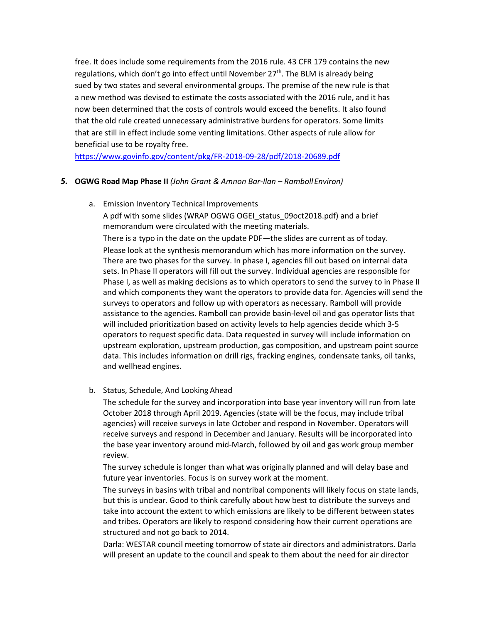free. It does include some requirements from the 2016 rule. 43 CFR 179 contains the new regulations, which don't go into effect until November  $27<sup>th</sup>$ . The BLM is already being sued by two states and several environmental groups. The premise of the new rule is that a new method was devised to estimate the costs associated with the 2016 rule, and it has now been determined that the costs of controls would exceed the benefits. It also found that the old rule created unnecessary administrative burdens for operators. Some limits that are still in effect include some venting limitations. Other aspects of rule allow for beneficial use to be royalty free.

<https://www.govinfo.gov/content/pkg/FR-2018-09-28/pdf/2018-20689.pdf>

### *5.* **OGWG Road Map Phase II** *(John Grant & Amnon Bar-Ilan – RambollEnviron)*

a. Emission Inventory Technical Improvements

A pdf with some slides (WRAP OGWG OGEI\_status\_09oct2018.pdf) and a brief memorandum were circulated with the meeting materials.

There is a typo in the date on the update PDF—the slides are current as of today. Please look at the synthesis memorandum which has more information on the survey. There are two phases for the survey. In phase I, agencies fill out based on internal data sets. In Phase II operators will fill out the survey. Individual agencies are responsible for Phase I, as well as making decisions as to which operators to send the survey to in Phase II and which components they want the operators to provide data for. Agencies will send the surveys to operators and follow up with operators as necessary. Ramboll will provide assistance to the agencies. Ramboll can provide basin-level oil and gas operator lists that will included prioritization based on activity levels to help agencies decide which 3-5 operators to request specific data. Data requested in survey will include information on upstream exploration, upstream production, gas composition, and upstream point source data. This includes information on drill rigs, fracking engines, condensate tanks, oil tanks, and wellhead engines.

### b. Status, Schedule, And Looking Ahead

The schedule for the survey and incorporation into base year inventory will run from late October 2018 through April 2019. Agencies (state will be the focus, may include tribal agencies) will receive surveys in late October and respond in November. Operators will receive surveys and respond in December and January. Results will be incorporated into the base year inventory around mid-March, followed by oil and gas work group member review.

The survey schedule is longer than what was originally planned and will delay base and future year inventories. Focus is on survey work at the moment.

The surveys in basins with tribal and nontribal components will likely focus on state lands, but this is unclear. Good to think carefully about how best to distribute the surveys and take into account the extent to which emissions are likely to be different between states and tribes. Operators are likely to respond considering how their current operations are structured and not go back to 2014.

Darla: WESTAR council meeting tomorrow of state air directors and administrators. Darla will present an update to the council and speak to them about the need for air director